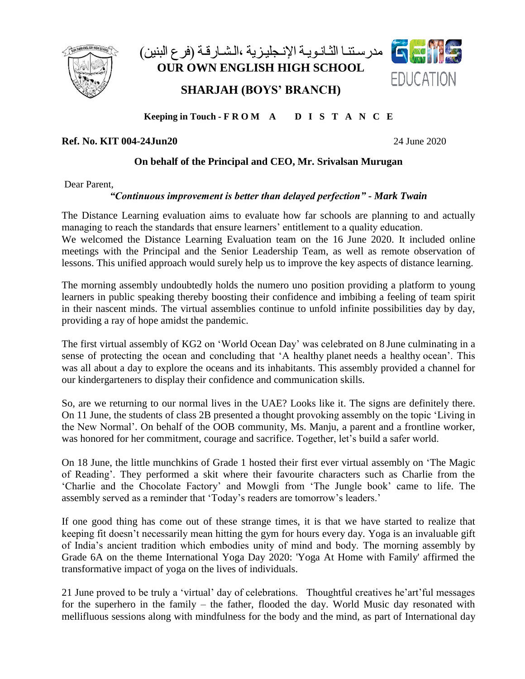

مدر سـتنـا الثـانـويـة الإنـجليـز يـة ،الـشـار قـة (فر ع البنين) **OUR OWN ENGLISH HIGH SCHOOL**

**SHARJAH (BOYS' BRANCH)**



# **Keeping in Touch - F R O M A D I S T A N C E**

### **Ref. No. KIT 004-24Jun20** 24 June 2020

#### **On behalf of the Principal and CEO, Mr. Srivalsan Murugan**

Dear Parent,

#### *"Continuous improvement is better than delayed perfection" - Mark Twain*

The Distance Learning evaluation aims to evaluate how far schools are planning to and actually managing to reach the standards that ensure learners' entitlement to a quality education.

We welcomed the Distance Learning Evaluation team on the 16 June 2020. It included online meetings with the Principal and the Senior Leadership Team, as well as remote observation of lessons. This unified approach would surely help us to improve the key aspects of distance learning.

The morning assembly undoubtedly holds the numero uno position providing a platform to young learners in public speaking thereby boosting their confidence and imbibing a feeling of team spirit in their nascent minds. The virtual assemblies continue to unfold infinite possibilities day by day, providing a ray of hope amidst the pandemic.

The first virtual assembly of KG2 on 'World Ocean Day' was celebrated on 8 June culminating in a sense of protecting the ocean and concluding that 'A healthy planet needs a healthy ocean'. This was all about a day to explore the oceans and its inhabitants. This assembly provided a channel for our kindergarteners to display their confidence and communication skills.

So, are we returning to our normal lives in the UAE? Looks like it. The signs are definitely there. On 11 June, the students of class 2B presented a thought provoking assembly on the topic 'Living in the New Normal'. On behalf of the OOB community, Ms. Manju, a parent and a frontline worker, was honored for her commitment, courage and sacrifice. Together, let's build a safer world.

On 18 June, the little munchkins of Grade 1 hosted their first ever virtual assembly on 'The Magic of Reading'. They performed a skit where their favourite characters such as Charlie from the 'Charlie and the Chocolate Factory' and Mowgli from 'The Jungle book' came to life. The assembly served as a reminder that 'Today's readers are tomorrow's leaders.'

If one good thing has come out of these strange times, it is that we have started to realize that keeping fit doesn't necessarily mean hitting the gym for hours every day. Yoga is an invaluable gift of India's ancient tradition which embodies unity of mind and body. The morning assembly by Grade 6A on the theme International Yoga Day 2020: 'Yoga At Home with Family' affirmed the transformative impact of yoga on the lives of individuals.

21 June proved to be truly a 'virtual' day of celebrations. Thoughtful creatives he'art'ful messages for the superhero in the family – the father, flooded the day. World Music day resonated with mellifluous sessions along with mindfulness for the body and the mind, as part of International day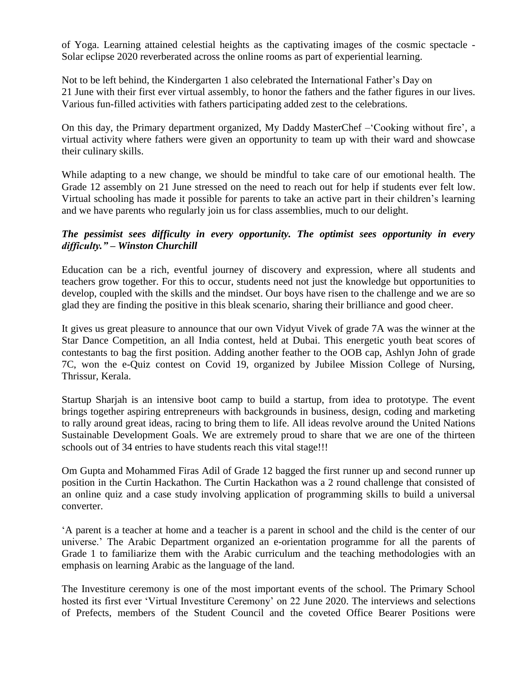of Yoga. Learning attained celestial heights as the captivating images of the cosmic spectacle - Solar eclipse 2020 reverberated across the online rooms as part of experiential learning.

Not to be left behind, the Kindergarten 1 also celebrated the International Father's Day on 21 June with their first ever virtual assembly, to honor the fathers and the father figures in our lives. Various fun-filled activities with fathers participating added zest to the celebrations.

On this day, the Primary department organized, My Daddy MasterChef –'Cooking without fire', a virtual activity where fathers were given an opportunity to team up with their ward and showcase their culinary skills.

While adapting to a new change, we should be mindful to take care of our emotional health. The Grade 12 assembly on 21 June stressed on the need to reach out for help if students ever felt low. Virtual schooling has made it possible for parents to take an active part in their children's learning and we have parents who regularly join us for class assemblies, much to our delight.

## *The pessimist sees difficulty in every opportunity. The optimist sees opportunity in every difficulty." – Winston Churchill*

Education can be a rich, eventful journey of discovery and expression, where all students and teachers grow together. For this to occur, students need not just the knowledge but opportunities to develop, coupled with the skills and the mindset. Our boys have risen to the challenge and we are so glad they are finding the positive in this bleak scenario, sharing their brilliance and good cheer.

It gives us great pleasure to announce that our own Vidyut Vivek of grade 7A was the winner at the Star Dance Competition, an all India contest, held at Dubai. This energetic youth beat scores of contestants to bag the first position. Adding another feather to the OOB cap, Ashlyn John of grade 7C, won the e-Quiz contest on Covid 19, organized by Jubilee Mission College of Nursing, Thrissur, Kerala.

Startup Sharjah is an intensive boot camp to build a startup, from idea to prototype. The event brings together aspiring entrepreneurs with backgrounds in business, design, coding and marketing to rally around great ideas, racing to bring them to life. All ideas revolve around the United Nations Sustainable Development Goals. We are extremely proud to share that we are one of the thirteen schools out of 34 entries to have students reach this vital stage!!!

Om Gupta and Mohammed Firas Adil of Grade 12 bagged the first runner up and second runner up position in the Curtin Hackathon. The Curtin Hackathon was a 2 round challenge that consisted of an online quiz and a case study involving application of programming skills to build a universal converter.

'A parent is a teacher at home and a teacher is a parent in school and the child is the center of our universe.' The Arabic Department organized an e-orientation programme for all the parents of Grade 1 to familiarize them with the Arabic curriculum and the teaching methodologies with an emphasis on learning Arabic as the language of the land.

The Investiture ceremony is one of the most important events of the school. The Primary School hosted its first ever 'Virtual Investiture Ceremony' on 22 June 2020. The interviews and selections of Prefects, members of the Student Council and the coveted Office Bearer Positions were